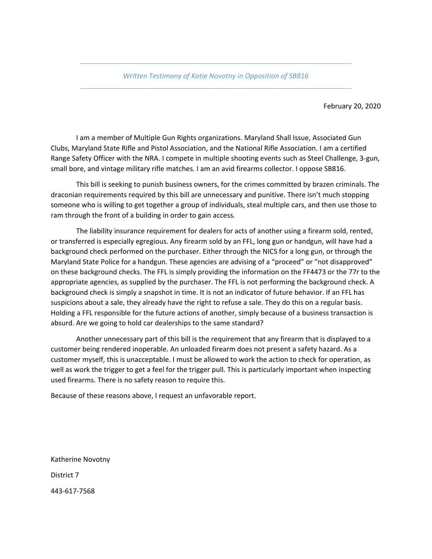*Written Testimony of Katie Novotny in Opposition of SB816*

February 20, 2020

I am a member of Multiple Gun Rights organizations. Maryland Shall Issue, Associated Gun Clubs, Maryland State Rifle and Pistol Association, and the National Rifle Association. I am a certified Range Safety Officer with the NRA. I compete in multiple shooting events such as Steel Challenge, 3‐gun, small bore, and vintage military rifle matches. I am an avid firearms collector. I oppose SB816.

This bill is seeking to punish business owners, for the crimes committed by brazen criminals. The draconian requirements required by this bill are unnecessary and punitive. There isn't much stopping someone who is willing to get together a group of individuals, steal multiple cars, and then use those to ram through the front of a building in order to gain access.

The liability insurance requirement for dealers for acts of another using a firearm sold, rented, or transferred is especially egregious. Any firearm sold by an FFL, long gun or handgun, will have had a background check performed on the purchaser. Either through the NICS for a long gun, or through the Maryland State Police for a handgun. These agencies are advising of a "proceed" or "not disapproved" on these background checks. The FFL is simply providing the information on the FF4473 or the 77r to the appropriate agencies, as supplied by the purchaser. The FFL is not performing the background check. A background check is simply a snapshot in time. It is not an indicator of future behavior. If an FFL has suspicions about a sale, they already have the right to refuse a sale. They do this on a regular basis. Holding a FFL responsible for the future actions of another, simply because of a business transaction is absurd. Are we going to hold car dealerships to the same standard?

Another unnecessary part of this bill is the requirement that any firearm that is displayed to a customer being rendered inoperable. An unloaded firearm does not present a safety hazard. As a customer myself, this is unacceptable. I must be allowed to work the action to check for operation, as well as work the trigger to get a feel for the trigger pull. This is particularly important when inspecting used firearms. There is no safety reason to require this.

Because of these reasons above, I request an unfavorable report.

Katherine Novotny District 7 443‐617‐7568